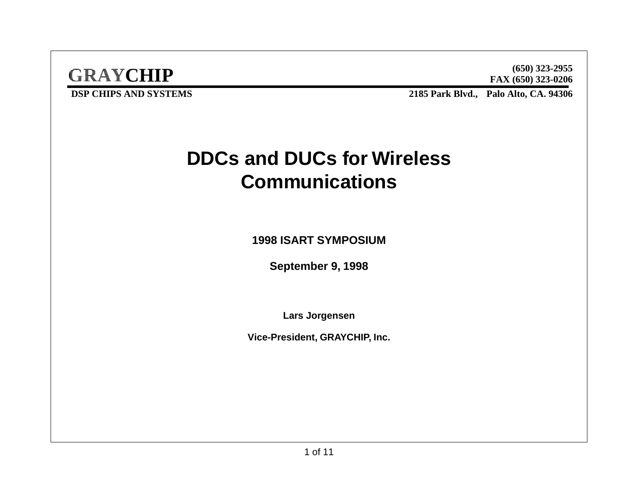

**FAX (650) 323-0206 (650) 323-2955**

**DSP CHIPS AND SYSTEMS** 

**Palo Alto, CA. 94306**

## **DDCs and DUCs for Wireless Communications**

**1998 ISART SYMPOSIUM**

**September 9, 1998**

**Lars Jorgensen**

**Vice-President, GRAYCHIP, Inc.**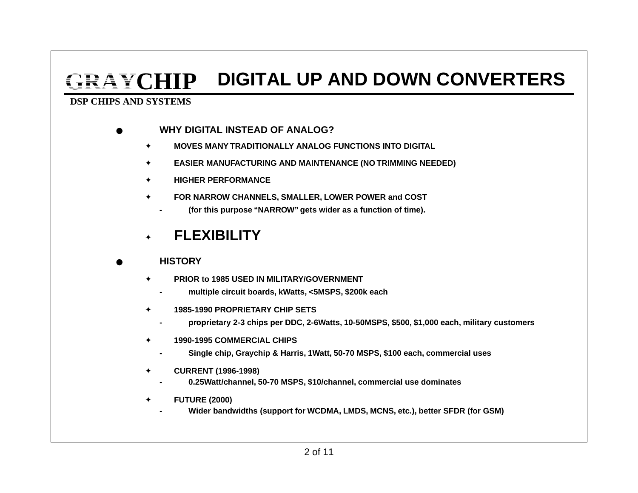## **GRAYCHIPDIGITAL UP AND DOWN CONVERTERS**

#### **DSP CHIPS AND SYSTEMS**

- ● **WHY DIGITAL INSTEAD OF ANALOG?**
	- ✦**MOVES MANY TRADITIONALLY ANALOG FUNCTIONS INTO DIGITAL**
	- ✦**EASIER MANUFACTURING AND MAINTENANCE (NO TRIMMING NEEDED)**
	- ✦**HIGHER PERFORMANCE**
	- ✦ **FOR NARROW CHANNELS, SMALLER, LOWER POWER and COST**
		- **(for this purpose "NARROW" gets wider as a function of time).**

#### ✦**FLEXIBILITY**

#### ●**HISTORY**

**-**

**-**

**-**

**-**

**-**

- ✦ **PRIOR to 1985 USED IN MILITARY/GOVERNMENT**
	- **multiple circuit boards, kWatts, <5MSPS, \$200k each**
- ✦ **1985-1990 PROPRIETARY CHIP SETS**
	- **proprietary 2-3 chips per DDC, 2-6Watts, 10-50MSPS, \$500, \$1,000 each, military customers**
- ✦ **1990-1995 COMMERCIAL CHIPS**
	- **Single chip, Graychip & Harris, 1Watt, 50-70 MSPS, \$100 each, commercial uses**
- ✦ **CURRENT (1996-1998)**
	- **0.25Watt/channel, 50-70 MSPS, \$10/channel, commercial use dominates**
- ✦ **FUTURE (2000)**
	- **Wider bandwidths (support for WCDMA, LMDS, MCNS, etc.), better SFDR (for GSM)**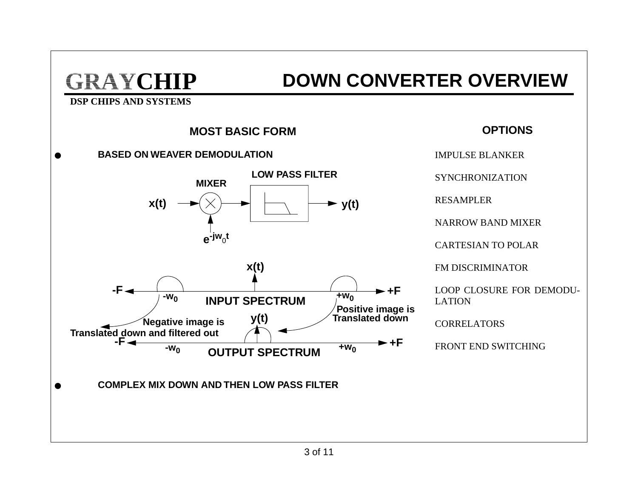### **DOWN CONVERTER OVERVIEW**

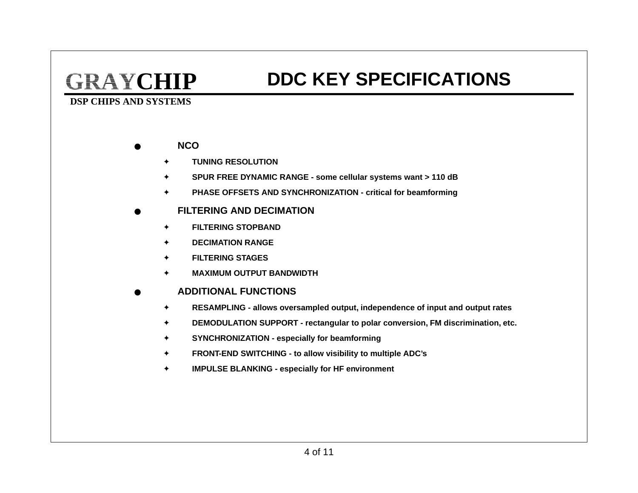### **DDC KEY SPECIFICATIONS**

- ● **NCO**
	- ✦**TUNING RESOLUTION**
	- ✦**SPUR FREE DYNAMIC RANGE - some cellular systems want > 110 dB**
	- ✦**PHASE OFFSETS AND SYNCHRONIZATION - critical for beamforming**
- ● **FILTERING AND DECIMATION**
	- ✦**FILTERING STOPBAND**
	- ✦**DECIMATION RANGE**
	- ✦**FILTERING STAGES**
	- ✦**MAXIMUM OUTPUT BANDWIDTH**
- ● **ADDITIONAL FUNCTIONS**
	- ✦**RESAMPLING - allows oversampled output, independence of input and output rates**
	- ✦**DEMODULATION SUPPORT - rectangular to polar conversion, FM discrimination, etc.**
	- ✦**SYNCHRONIZATION - especially for beamforming**
	- ✦**FRONT-END SWITCHING - to allow visibility to multiple ADC's**
	- ✦**IMPULSE BLANKING - especially for HF environment**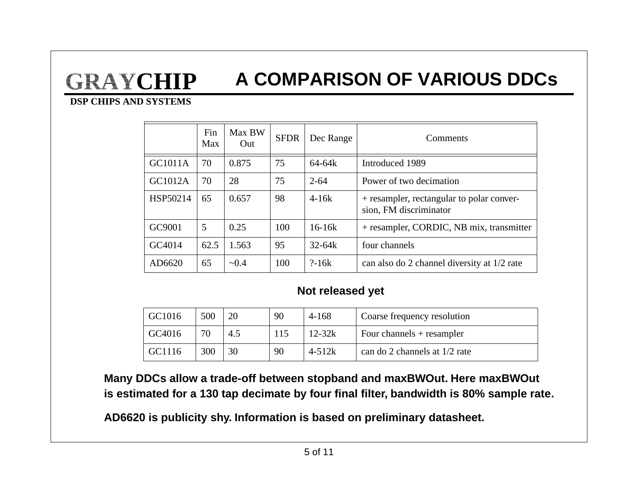### **GRAYCHIPA COMPARISON OF VARIOUS DDCs**

#### **DSP CHIPS AND SYSTEMS**

|          | Fin<br>Max | Max BW<br>Out | <b>SFDR</b> | Dec Range  | Comments                                                            |
|----------|------------|---------------|-------------|------------|---------------------------------------------------------------------|
| GC1011A  | 70         | 0.875         | 75          | 64-64k     | Introduced 1989                                                     |
| GC1012A  | 70         | 28            | 75          | $2 - 64$   | Power of two decimation                                             |
| HSP50214 | 65         | 0.657         | 98          | $4-16k$    | + resampler, rectangular to polar conver-<br>sion, FM discriminator |
| GC9001   | 5          | 0.25          | 100         | $16-16k$   | + resampler, CORDIC, NB mix, transmitter                            |
| GC4014   | 62.5       | 1.563         | 95          | $32 - 64k$ | four channels                                                       |
| AD6620   | 65         | ~10.4         | 100         | $? - 16k$  | can also do 2 channel diversity at 1/2 rate                         |

### **Not released yet**

| GC1016 | 500 |     | 90  | 4-168      | Coarse frequency resolution       |
|--------|-----|-----|-----|------------|-----------------------------------|
| GC4016 | 70  | 4.5 | 115 | $12 - 32k$ | $\vert$ Four channels + resampler |
| GC1116 | 300 | 30  | 90  | $4 - 512k$ | can do 2 channels at 1/2 rate     |

**Many DDCs allow a trade-off between stopband and maxBWOut. Here maxBWOut is estimated for a 130 tap decimate by four final filter, bandwidth is 80% sample rate.**

**AD6620 is publicity shy. Information is based on preliminary datasheet.**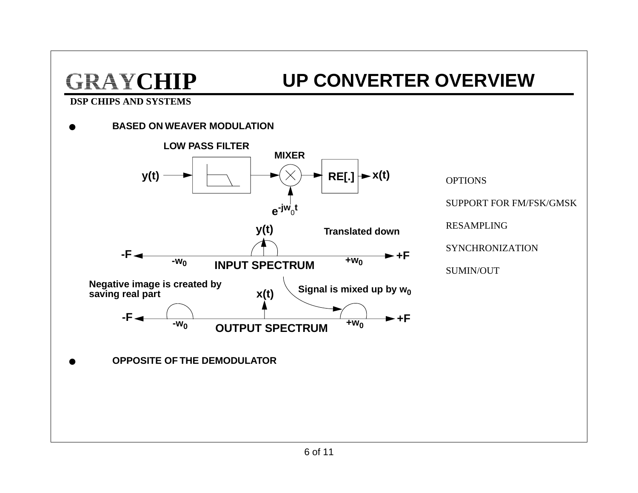## **UP CONVERTER OVERVIEW**



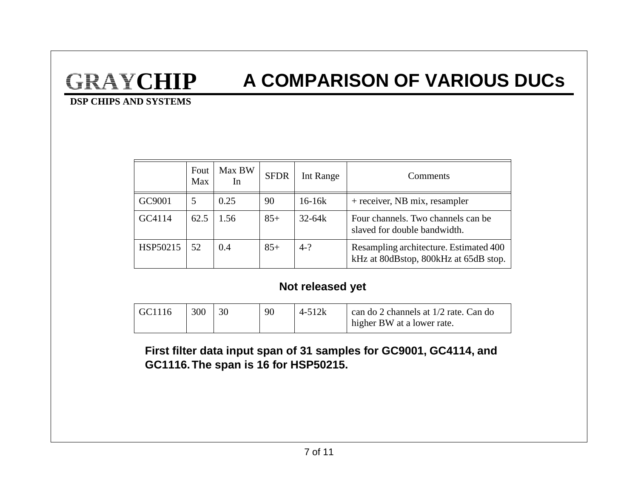### **A COMPARISON OF VARIOUS DUCs**

#### **DSP CHIPS AND SYSTEMS**

|          | Fout<br>Max | Max BW<br>In | <b>SFDR</b> | Int Range  | Comments                                                                        |
|----------|-------------|--------------|-------------|------------|---------------------------------------------------------------------------------|
| GC9001   | 5           | 0.25         | 90          | $16 - 16k$ | + receiver, NB mix, resampler                                                   |
| GC4114   | 62.5        | 1.56         | $85+$       | $32 - 64k$ | Four channels. Two channels can be<br>slaved for double bandwidth.              |
| HSP50215 | 52          | 0.4          | $85+$       | $4-?$      | Resampling architecture. Estimated 400<br>kHz at 80dBstop, 800kHz at 65dB stop. |

### **Not released yet**

| $\overline{G}$ C1116 | 300 | 90 | $4 - 512k$ | can do 2 channels at 1/2 rate. Can do    |
|----------------------|-----|----|------------|------------------------------------------|
|                      |     |    |            | $\frac{1}{2}$ higher BW at a lower rate. |

**First filter data input span of 31 samples for GC9001, GC4114, and GC1116. The span is 16 for HSP50215.**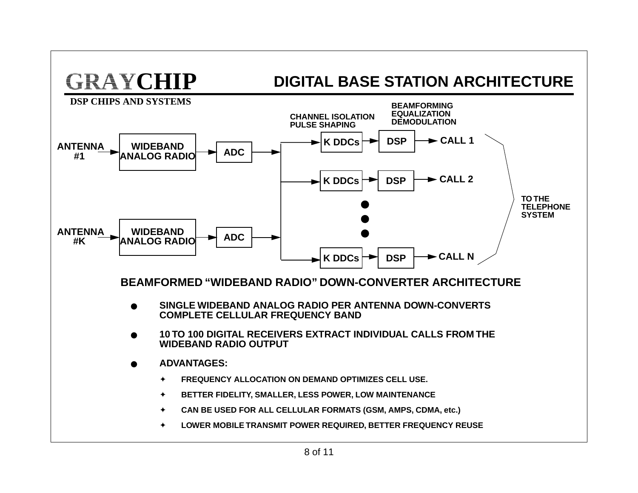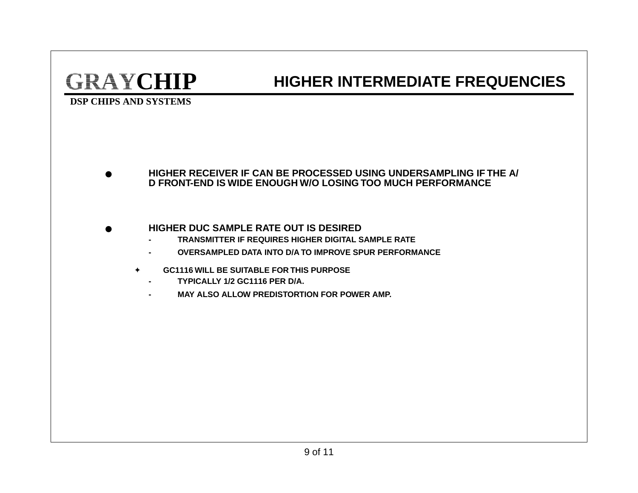### **HIGHER INTERMEDIATE FREQUENCIES**

#### **DSP CHIPS AND SYSTEMS**

● **HIGHER RECEIVER IF CAN BE PROCESSED USING UNDERSAMPLING IF THE A/ D FRONT-END IS WIDE ENOUGH W/O LOSING TOO MUCH PERFORMANCE**

#### ●**HIGHER DUC SAMPLE RATE OUT IS DESIRED**

- **- TRANSMITTER IF REQUIRES HIGHER DIGITAL SAMPLE RATE**
- **- OVERSAMPLED DATA INTO D/A TO IMPROVE SPUR PERFORMANCE**
- ✦ **GC1116 WILL BE SUITABLE FOR THIS PURPOSE**
	- **- TYPICALLY 1/2 GC1116 PER D/A.**
	- **- MAY ALSO ALLOW PREDISTORTION FOR POWER AMP.**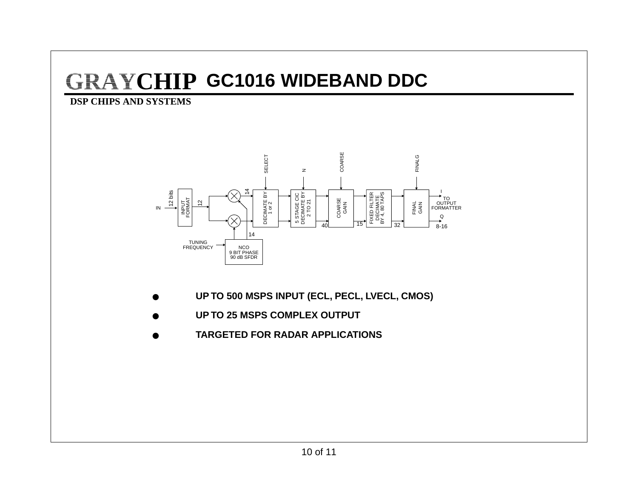## **GRAYCHIP GC1016 WIDEBAND DDC**



- ●**UP TO 500 MSPS INPUT (ECL, PECL, LVECL, CMOS)**
- ●**UP TO 25 MSPS COMPLEX OUTPUT**
- ●**TARGETED FOR RADAR APPLICATIONS**